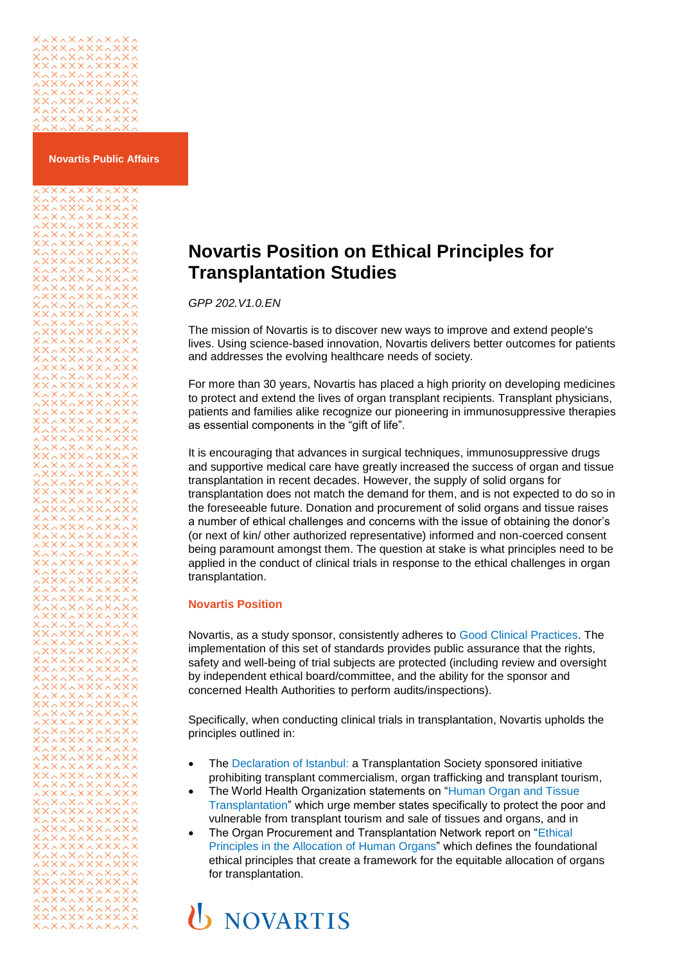## 

xxxxxxxxxxx

**Novartis Public Affairs**

## **Novartis Position on Ethical Principles for Transplantation Studies**

*GPP 202.V1.0.EN*

The mission of Novartis is to discover new ways to improve and extend people's lives. Using science-based innovation, Novartis delivers better outcomes for patients and addresses the evolving healthcare needs of society.

For more than 30 years, Novartis has placed a high priority on developing medicines to protect and extend the lives of organ transplant recipients. Transplant physicians, patients and families alike recognize our pioneering in immunosuppressive therapies as essential components in the "gift of life".

It is encouraging that advances in surgical techniques, immunosuppressive drugs and supportive medical care have greatly increased the success of organ and tissue transplantation in recent decades. However, the supply of solid organs for transplantation does not match the demand for them, and is not expected to do so in the foreseeable future. Donation and procurement of solid organs and tissue raises a number of ethical challenges and concerns with the issue of obtaining the donor's (or next of kin/ other authorized representative) informed and non-coerced consent being paramount amongst them. The question at stake is what principles need to be applied in the conduct of clinical trials in response to the ethical challenges in organ transplantation.

## **Novartis Position**

Novartis, as a study sponsor, consistently adheres to [Good Clinical Practices.](http://www.ich.org/fileadmin/Public_Web_Site/ICH_Products/Guidelines/Efficacy/E6/E6_R2__Step_4.pdf) The implementation of this set of standards provides public assurance that the rights, safety and well-being of trial subjects are protected (including review and oversight by independent ethical board/committee, and the ability for the sponsor and concerned Health Authorities to perform audits/inspections).

Specifically, when conducting clinical trials in transplantation, Novartis upholds the principles outlined in:

- The [Declaration of Istanbul:](http://www.declarationofistanbul.org/) a Transplantation Society sponsored initiative prohibiting transplant commercialism, organ trafficking and transplant tourism,
- The World Health Organization statements on ["Human Organ and Tissue](http://apps.who.int/gb/archive/pdf_files/EB124/B124_15-en.pdf)  [Transplantation"](http://apps.who.int/gb/archive/pdf_files/EB124/B124_15-en.pdf) which urge member states specifically to protect the poor and vulnerable from transplant tourism and sale of tissues and organs, and in
- The Organ Procurement and Transplantation Network report on "Ethical [Principles in the Allocation](https://optn.transplant.hrsa.gov/resources/ethics/ethical-principles-in-the-allocation-of-human-organs/) of Human Organs" which defines the foundational ethical principles that create a framework for the equitable allocation of organs for transplantation.

## **U** NOVARTIS